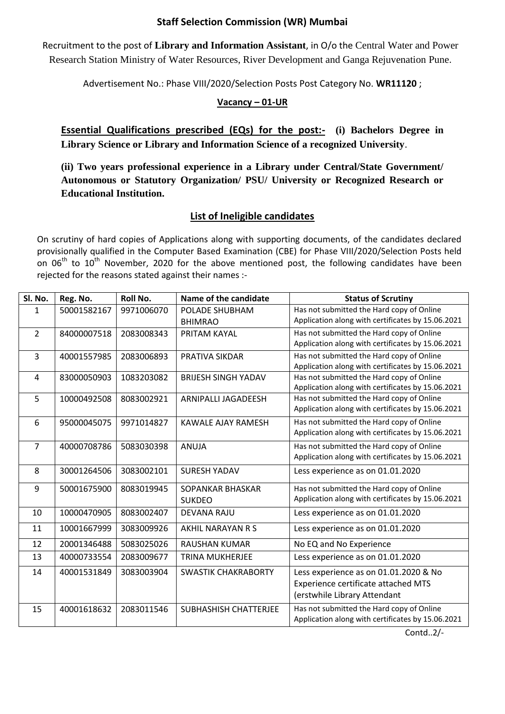## **Staff Selection Commission (WR) Mumbai**

Recruitment to the post of **Library and Information Assistant**, in O/o the Central Water and Power Research Station Ministry of Water Resources, River Development and Ganga Rejuvenation Pune.

Advertisement No.: Phase VIII/2020/Selection Posts Post Category No. **WR11120** ;

## **Vacancy – 01-UR**

**Essential Qualifications prescribed (EQs) for the post:- (i) Bachelors Degree in Library Science or Library and Information Science of a recognized University**.

**(ii) Two years professional experience in a Library under Central/State Government/ Autonomous or Statutory Organization/ PSU/ University or Recognized Research or Educational Institution.**

## **List of Ineligible candidates**

On scrutiny of hard copies of Applications along with supporting documents, of the candidates declared provisionally qualified in the Computer Based Examination (CBE) for Phase VIII/2020/Selection Posts held on 06<sup>th</sup> to 10<sup>th</sup> November, 2020 for the above mentioned post, the following candidates have been rejected for the reasons stated against their names :-

| Has not submitted the Hard copy of Online<br>50001582167<br>9971006070<br>POLADE SHUBHAM<br>$\mathbf{1}$<br>Application along with certificates by 15.06.2021<br><b>BHIMRAO</b><br>Has not submitted the Hard copy of Online<br>$\overline{2}$<br>84000007518<br>2083008343<br>PRITAM KAYAL<br>Application along with certificates by 15.06.2021<br>Has not submitted the Hard copy of Online<br>$\overline{3}$<br>40001557985<br>2083006893<br>PRATIVA SIKDAR<br>Application along with certificates by 15.06.2021<br>Has not submitted the Hard copy of Online<br>1083203082<br>83000050903<br><b>BRIJESH SINGH YADAV</b><br>4<br>Application along with certificates by 15.06.2021<br>5<br>Has not submitted the Hard copy of Online<br>10000492508<br>8083002921<br>ARNIPALLI JAGADEESH<br>Application along with certificates by 15.06.2021<br>Has not submitted the Hard copy of Online<br>6<br>95000045075<br>9971014827<br><b>KAWALE AJAY RAMESH</b><br>Application along with certificates by 15.06.2021<br>Has not submitted the Hard copy of Online<br>$\overline{7}$<br>40000708786<br>5083030398<br><b>ANUJA</b><br>Application along with certificates by 15.06.2021<br>8<br>30001264506<br>3083002101<br><b>SURESH YADAV</b><br>Less experience as on 01.01.2020<br>Has not submitted the Hard copy of Online<br>9<br>50001675900<br>8083019945<br>SOPANKAR BHASKAR<br>Application along with certificates by 15.06.2021<br><b>SUKDEO</b><br>10000470905<br>8083002407<br>Less experience as on 01.01.2020<br>10<br><b>DEVANA RAJU</b><br>11<br>Less experience as on 01.01.2020<br>10001667999<br>3083009926<br>AKHIL NARAYAN R S<br>12<br>20001346488<br>5083025026<br>No EQ and No Experience<br><b>RAUSHAN KUMAR</b><br>Less experience as on 01.01.2020<br>13<br>40000733554<br>2083009677<br><b>TRINA MUKHERJEE</b><br>14<br>40001531849<br>3083003904<br>Less experience as on 01.01.2020 & No<br><b>SWASTIK CHAKRABORTY</b><br>Experience certificate attached MTS<br>(erstwhile Library Attendant<br>Has not submitted the Hard copy of Online<br>15<br>40001618632<br>2083011546<br><b>SUBHASHISH CHATTERJEE</b> | Sl. No. | Reg. No. | Roll No. | Name of the candidate | <b>Status of Scrutiny</b>                         |
|-------------------------------------------------------------------------------------------------------------------------------------------------------------------------------------------------------------------------------------------------------------------------------------------------------------------------------------------------------------------------------------------------------------------------------------------------------------------------------------------------------------------------------------------------------------------------------------------------------------------------------------------------------------------------------------------------------------------------------------------------------------------------------------------------------------------------------------------------------------------------------------------------------------------------------------------------------------------------------------------------------------------------------------------------------------------------------------------------------------------------------------------------------------------------------------------------------------------------------------------------------------------------------------------------------------------------------------------------------------------------------------------------------------------------------------------------------------------------------------------------------------------------------------------------------------------------------------------------------------------------------------------------------------------------------------------------------------------------------------------------------------------------------------------------------------------------------------------------------------------------------------------------------------------------------------------------------------------------------------------------------------------------------------------------------------------------------------------------------------------------------------------|---------|----------|----------|-----------------------|---------------------------------------------------|
|                                                                                                                                                                                                                                                                                                                                                                                                                                                                                                                                                                                                                                                                                                                                                                                                                                                                                                                                                                                                                                                                                                                                                                                                                                                                                                                                                                                                                                                                                                                                                                                                                                                                                                                                                                                                                                                                                                                                                                                                                                                                                                                                           |         |          |          |                       |                                                   |
|                                                                                                                                                                                                                                                                                                                                                                                                                                                                                                                                                                                                                                                                                                                                                                                                                                                                                                                                                                                                                                                                                                                                                                                                                                                                                                                                                                                                                                                                                                                                                                                                                                                                                                                                                                                                                                                                                                                                                                                                                                                                                                                                           |         |          |          |                       |                                                   |
|                                                                                                                                                                                                                                                                                                                                                                                                                                                                                                                                                                                                                                                                                                                                                                                                                                                                                                                                                                                                                                                                                                                                                                                                                                                                                                                                                                                                                                                                                                                                                                                                                                                                                                                                                                                                                                                                                                                                                                                                                                                                                                                                           |         |          |          |                       |                                                   |
|                                                                                                                                                                                                                                                                                                                                                                                                                                                                                                                                                                                                                                                                                                                                                                                                                                                                                                                                                                                                                                                                                                                                                                                                                                                                                                                                                                                                                                                                                                                                                                                                                                                                                                                                                                                                                                                                                                                                                                                                                                                                                                                                           |         |          |          |                       |                                                   |
|                                                                                                                                                                                                                                                                                                                                                                                                                                                                                                                                                                                                                                                                                                                                                                                                                                                                                                                                                                                                                                                                                                                                                                                                                                                                                                                                                                                                                                                                                                                                                                                                                                                                                                                                                                                                                                                                                                                                                                                                                                                                                                                                           |         |          |          |                       |                                                   |
|                                                                                                                                                                                                                                                                                                                                                                                                                                                                                                                                                                                                                                                                                                                                                                                                                                                                                                                                                                                                                                                                                                                                                                                                                                                                                                                                                                                                                                                                                                                                                                                                                                                                                                                                                                                                                                                                                                                                                                                                                                                                                                                                           |         |          |          |                       |                                                   |
|                                                                                                                                                                                                                                                                                                                                                                                                                                                                                                                                                                                                                                                                                                                                                                                                                                                                                                                                                                                                                                                                                                                                                                                                                                                                                                                                                                                                                                                                                                                                                                                                                                                                                                                                                                                                                                                                                                                                                                                                                                                                                                                                           |         |          |          |                       |                                                   |
|                                                                                                                                                                                                                                                                                                                                                                                                                                                                                                                                                                                                                                                                                                                                                                                                                                                                                                                                                                                                                                                                                                                                                                                                                                                                                                                                                                                                                                                                                                                                                                                                                                                                                                                                                                                                                                                                                                                                                                                                                                                                                                                                           |         |          |          |                       |                                                   |
|                                                                                                                                                                                                                                                                                                                                                                                                                                                                                                                                                                                                                                                                                                                                                                                                                                                                                                                                                                                                                                                                                                                                                                                                                                                                                                                                                                                                                                                                                                                                                                                                                                                                                                                                                                                                                                                                                                                                                                                                                                                                                                                                           |         |          |          |                       |                                                   |
|                                                                                                                                                                                                                                                                                                                                                                                                                                                                                                                                                                                                                                                                                                                                                                                                                                                                                                                                                                                                                                                                                                                                                                                                                                                                                                                                                                                                                                                                                                                                                                                                                                                                                                                                                                                                                                                                                                                                                                                                                                                                                                                                           |         |          |          |                       |                                                   |
|                                                                                                                                                                                                                                                                                                                                                                                                                                                                                                                                                                                                                                                                                                                                                                                                                                                                                                                                                                                                                                                                                                                                                                                                                                                                                                                                                                                                                                                                                                                                                                                                                                                                                                                                                                                                                                                                                                                                                                                                                                                                                                                                           |         |          |          |                       |                                                   |
|                                                                                                                                                                                                                                                                                                                                                                                                                                                                                                                                                                                                                                                                                                                                                                                                                                                                                                                                                                                                                                                                                                                                                                                                                                                                                                                                                                                                                                                                                                                                                                                                                                                                                                                                                                                                                                                                                                                                                                                                                                                                                                                                           |         |          |          |                       |                                                   |
|                                                                                                                                                                                                                                                                                                                                                                                                                                                                                                                                                                                                                                                                                                                                                                                                                                                                                                                                                                                                                                                                                                                                                                                                                                                                                                                                                                                                                                                                                                                                                                                                                                                                                                                                                                                                                                                                                                                                                                                                                                                                                                                                           |         |          |          |                       |                                                   |
|                                                                                                                                                                                                                                                                                                                                                                                                                                                                                                                                                                                                                                                                                                                                                                                                                                                                                                                                                                                                                                                                                                                                                                                                                                                                                                                                                                                                                                                                                                                                                                                                                                                                                                                                                                                                                                                                                                                                                                                                                                                                                                                                           |         |          |          |                       |                                                   |
|                                                                                                                                                                                                                                                                                                                                                                                                                                                                                                                                                                                                                                                                                                                                                                                                                                                                                                                                                                                                                                                                                                                                                                                                                                                                                                                                                                                                                                                                                                                                                                                                                                                                                                                                                                                                                                                                                                                                                                                                                                                                                                                                           |         |          |          |                       |                                                   |
|                                                                                                                                                                                                                                                                                                                                                                                                                                                                                                                                                                                                                                                                                                                                                                                                                                                                                                                                                                                                                                                                                                                                                                                                                                                                                                                                                                                                                                                                                                                                                                                                                                                                                                                                                                                                                                                                                                                                                                                                                                                                                                                                           |         |          |          |                       |                                                   |
|                                                                                                                                                                                                                                                                                                                                                                                                                                                                                                                                                                                                                                                                                                                                                                                                                                                                                                                                                                                                                                                                                                                                                                                                                                                                                                                                                                                                                                                                                                                                                                                                                                                                                                                                                                                                                                                                                                                                                                                                                                                                                                                                           |         |          |          |                       |                                                   |
|                                                                                                                                                                                                                                                                                                                                                                                                                                                                                                                                                                                                                                                                                                                                                                                                                                                                                                                                                                                                                                                                                                                                                                                                                                                                                                                                                                                                                                                                                                                                                                                                                                                                                                                                                                                                                                                                                                                                                                                                                                                                                                                                           |         |          |          |                       |                                                   |
|                                                                                                                                                                                                                                                                                                                                                                                                                                                                                                                                                                                                                                                                                                                                                                                                                                                                                                                                                                                                                                                                                                                                                                                                                                                                                                                                                                                                                                                                                                                                                                                                                                                                                                                                                                                                                                                                                                                                                                                                                                                                                                                                           |         |          |          |                       |                                                   |
|                                                                                                                                                                                                                                                                                                                                                                                                                                                                                                                                                                                                                                                                                                                                                                                                                                                                                                                                                                                                                                                                                                                                                                                                                                                                                                                                                                                                                                                                                                                                                                                                                                                                                                                                                                                                                                                                                                                                                                                                                                                                                                                                           |         |          |          |                       |                                                   |
|                                                                                                                                                                                                                                                                                                                                                                                                                                                                                                                                                                                                                                                                                                                                                                                                                                                                                                                                                                                                                                                                                                                                                                                                                                                                                                                                                                                                                                                                                                                                                                                                                                                                                                                                                                                                                                                                                                                                                                                                                                                                                                                                           |         |          |          |                       |                                                   |
|                                                                                                                                                                                                                                                                                                                                                                                                                                                                                                                                                                                                                                                                                                                                                                                                                                                                                                                                                                                                                                                                                                                                                                                                                                                                                                                                                                                                                                                                                                                                                                                                                                                                                                                                                                                                                                                                                                                                                                                                                                                                                                                                           |         |          |          |                       |                                                   |
|                                                                                                                                                                                                                                                                                                                                                                                                                                                                                                                                                                                                                                                                                                                                                                                                                                                                                                                                                                                                                                                                                                                                                                                                                                                                                                                                                                                                                                                                                                                                                                                                                                                                                                                                                                                                                                                                                                                                                                                                                                                                                                                                           |         |          |          |                       |                                                   |
|                                                                                                                                                                                                                                                                                                                                                                                                                                                                                                                                                                                                                                                                                                                                                                                                                                                                                                                                                                                                                                                                                                                                                                                                                                                                                                                                                                                                                                                                                                                                                                                                                                                                                                                                                                                                                                                                                                                                                                                                                                                                                                                                           |         |          |          |                       |                                                   |
|                                                                                                                                                                                                                                                                                                                                                                                                                                                                                                                                                                                                                                                                                                                                                                                                                                                                                                                                                                                                                                                                                                                                                                                                                                                                                                                                                                                                                                                                                                                                                                                                                                                                                                                                                                                                                                                                                                                                                                                                                                                                                                                                           |         |          |          |                       |                                                   |
|                                                                                                                                                                                                                                                                                                                                                                                                                                                                                                                                                                                                                                                                                                                                                                                                                                                                                                                                                                                                                                                                                                                                                                                                                                                                                                                                                                                                                                                                                                                                                                                                                                                                                                                                                                                                                                                                                                                                                                                                                                                                                                                                           |         |          |          |                       |                                                   |
|                                                                                                                                                                                                                                                                                                                                                                                                                                                                                                                                                                                                                                                                                                                                                                                                                                                                                                                                                                                                                                                                                                                                                                                                                                                                                                                                                                                                                                                                                                                                                                                                                                                                                                                                                                                                                                                                                                                                                                                                                                                                                                                                           |         |          |          |                       | Application along with certificates by 15.06.2021 |

Contd..2/-